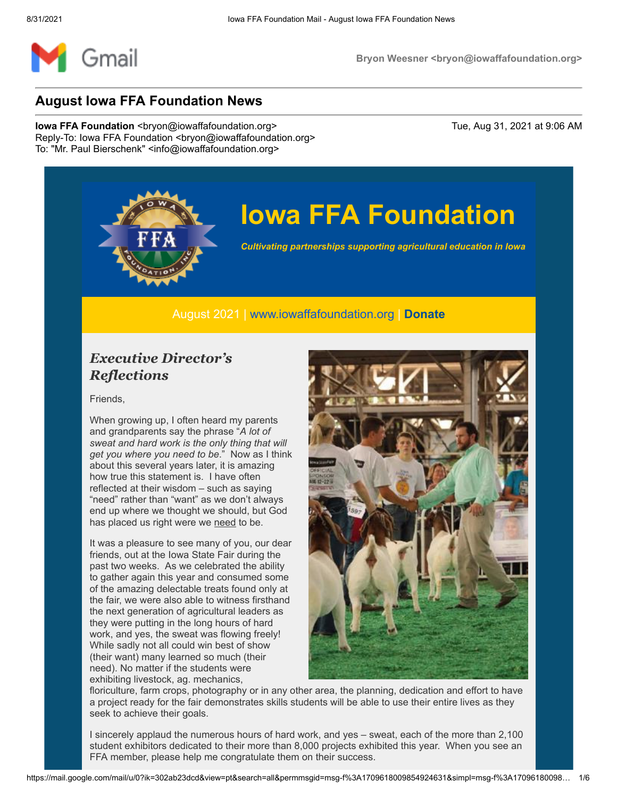

## **Iowa FFA Foundation**

*Cultivating partnerships supporting agricultural education in Iowa*

#### August 2021 | [www.iowaffafoundation.org](http://www.iowaffafoundation.org/) | **[Donate](https://eml-pusa01.app.blackbaud.net/intv2/j/C1835585-BC7A-4AA1-A545-16602A907DB1/r/C1835585-BC7A-4AA1-A545-16602A907DB1_4776937f-e424-4b8c-a2f8-05a4ae481d24/l/11F43A75-D32D-4DBF-83D4-35210F315895/c)**

### *Executive Director's Reflections*

Friends,

When growing up, I often heard my parents and grandparents say the phrase "*A lot of sweat and hard work is the only thing that will get you where you need to be*." Now as I think about this several years later, it is amazing how true this statement is. I have often reflected at their wisdom – such as saying "need" rather than "want" as we don't always end up where we thought we should, but God has placed us right were we need to be.

It was a pleasure to see many of you, our dear friends, out at the Iowa State Fair during the past two weeks. As we celebrated the ability to gather again this year and consumed some of the amazing delectable treats found only at the fair, we were also able to witness firsthand the next generation of agricultural leaders as they were putting in the long hours of hard work, and yes, the sweat was flowing freely! While sadly not all could win best of show (their want) many learned so much (their need). No matter if the students were exhibiting livestock, ag. mechanics,



floriculture, farm crops, photography or in any other area, the planning, dedication and effort to have a project ready for the fair demonstrates skills students will be able to use their entire lives as they seek to achieve their goals.

I sincerely applaud the numerous hours of hard work, and yes – sweat, each of the more than 2,100 student exhibitors dedicated to their more than 8,000 projects exhibited this year. When you see an FFA member, please help me congratulate them on their success.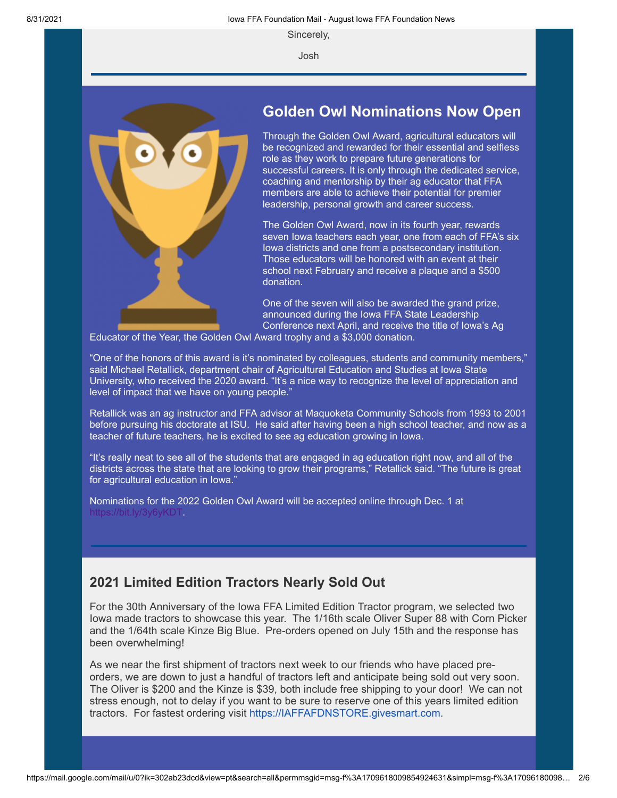Sincerely,

Josh



### **Golden Owl Nominations Now Open**

Through the Golden Owl Award, agricultural educators will be recognized and rewarded for their essential and selfless role as they work to prepare future generations for successful careers. It is only through the dedicated service, coaching and mentorship by their ag educator that FFA members are able to achieve their potential for premier leadership, personal growth and career success.

The Golden Owl Award, now in its fourth year, rewards seven Iowa teachers each year, one from each of FFA's six Iowa districts and one from a postsecondary institution. Those educators will be honored with an event at their school next February and receive a plaque and a \$500 donation.

One of the seven will also be awarded the grand prize, announced during the Iowa FFA State Leadership Conference next April, and receive the title of Iowa's Ag

Educator of the Year, the Golden Owl Award trophy and a \$3,000 donation.

"One of the honors of this award is it's nominated by colleagues, students and community members," said Michael Retallick, department chair of Agricultural Education and Studies at Iowa State University, who received the 2020 award. "It's a nice way to recognize the level of appreciation and level of impact that we have on young people."

Retallick was an ag instructor and FFA advisor at Maquoketa Community Schools from 1993 to 2001 before pursuing his doctorate at ISU. He said after having been a high school teacher, and now as a teacher of future teachers, he is excited to see ag education growing in Iowa.

"It's really neat to see all of the students that are engaged in ag education right now, and all of the districts across the state that are looking to grow their programs," Retallick said. "The future is great for agricultural education in Iowa."

Nominations for the 2022 Golden Owl Award will be accepted online through Dec. 1 at <https://bit.ly/3y6yKDT>.

#### **2021 Limited Edition Tractors Nearly Sold Out**

For the 30th Anniversary of the Iowa FFA Limited Edition Tractor program, we selected two Iowa made tractors to showcase this year. The 1/16th scale Oliver Super 88 with Corn Picker and the 1/64th scale Kinze Big Blue. Pre-orders opened on July 15th and the response has been overwhelming!

As we near the first shipment of tractors next week to our friends who have placed preorders, we are down to just a handful of tractors left and anticipate being sold out very soon. The Oliver is \$200 and the Kinze is \$39, both include free shipping to your door! We can not stress enough, not to delay if you want to be sure to reserve one of this years limited edition tractors. For fastest ordering visit [https://IAFFAFDNSTORE.givesmart.com](https://eml-pusa01.app.blackbaud.net/intv2/j/C1835585-BC7A-4AA1-A545-16602A907DB1/r/C1835585-BC7A-4AA1-A545-16602A907DB1_4776937f-e424-4b8c-a2f8-05a4ae481d24/l/48789E88-F88B-4F84-899C-03FA5B02BB99/c).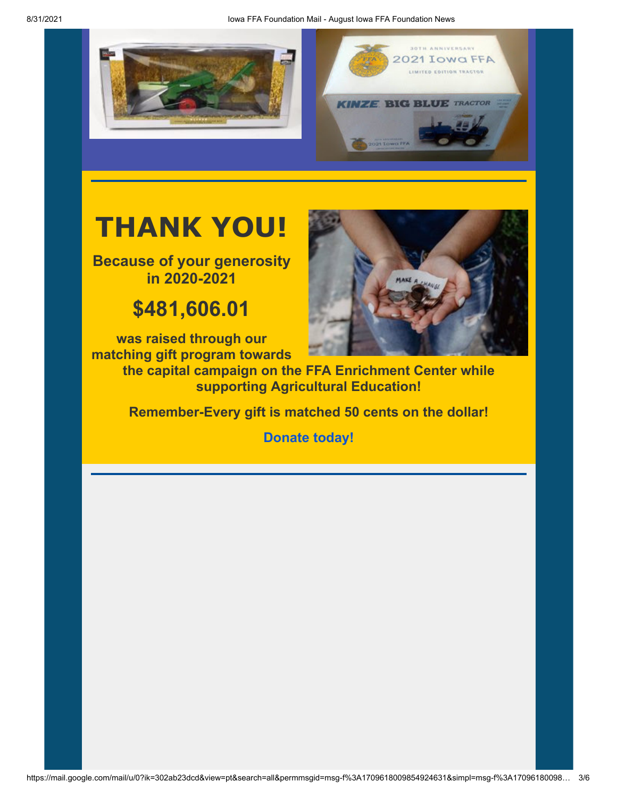



## **THANK YOU!**

**Because of your generosity in 2020-2021**

## **\$481,606.01**

**was raised through our matching gift program towards**



**the capital campaign on the FFA Enrichment Center while supporting Agricultural Education!**

**Remember-Every gift is matched 50 cents on the dollar!**

**[Donate today!](https://eml-pusa01.app.blackbaud.net/intv2/j/C1835585-BC7A-4AA1-A545-16602A907DB1/r/C1835585-BC7A-4AA1-A545-16602A907DB1_4776937f-e424-4b8c-a2f8-05a4ae481d24/l/A62F22D4-3E1B-4C99-9881-FB7776CD9FD8/c)**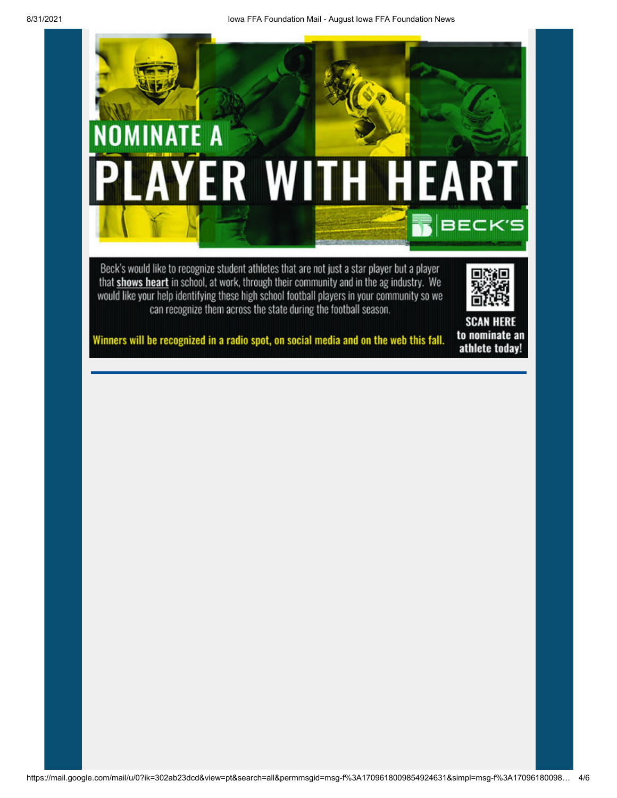![](_page_3_Picture_0.jpeg)

Beck's would like to recognize student athletes that are not just a star player but a player that shows heart in school, at work, through their community and in the ag industry. We would like your help identifying these high school football players in your community so we can recognize them across the state during the football season.

![](_page_3_Picture_2.jpeg)

**SCAN HERE** to nominate an athlete today!

#### Winners will be recognized in a radio spot, on social media and on the web this fall.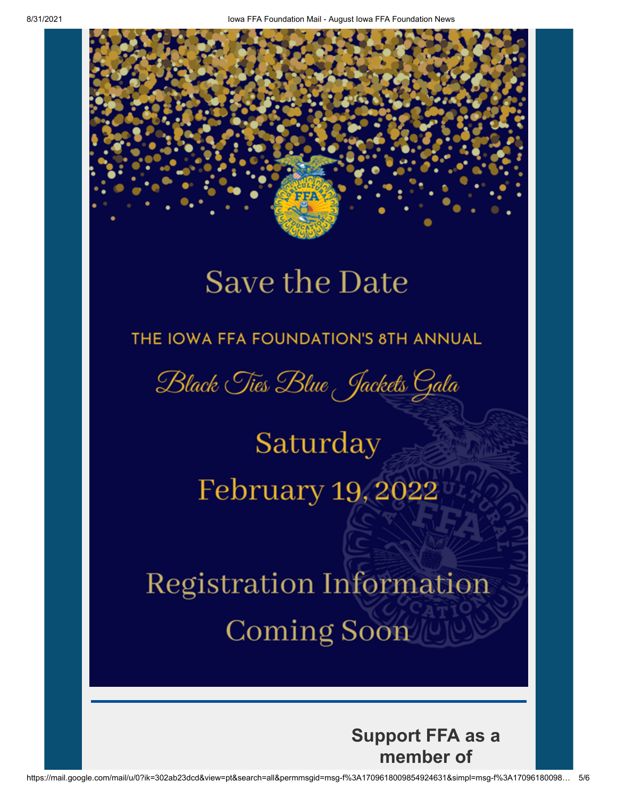## **Save the Date**

### THE IOWA FFA FOUNDATION'S 8TH ANNUAL

Black Ties Blue Jackets Gala

Saturday February 19, 2022

**Registration Information Coming Soon** 

> **Support FFA as a** member of